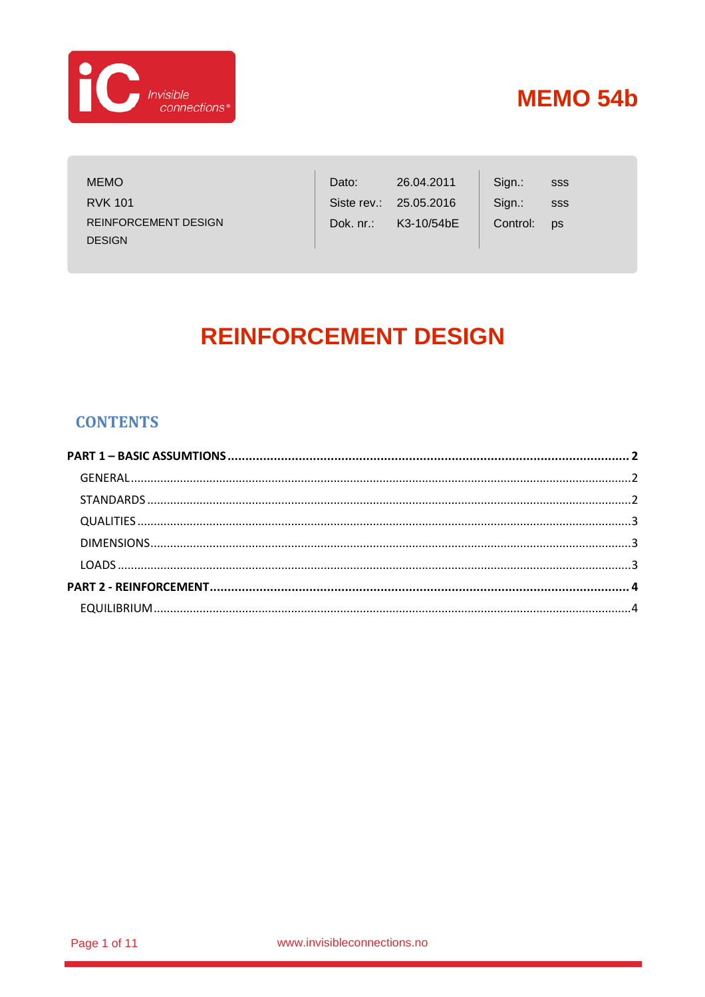

| <b>MEMO</b>                 | Dato:     | 26.04.2011             | Sign.:   | SSS       |
|-----------------------------|-----------|------------------------|----------|-----------|
| <b>RVK 101</b>              |           | Siste rev.: 25.05.2016 | Sign.:   | SSS       |
| <b>REINFORCEMENT DESIGN</b> | Dok. nr.: | K3-10/54bE             | Control: | <b>DS</b> |
| <b>DESIGN</b>               |           |                        |          |           |

# **REINFORCEMENT DESIGN**

### **CONTENTS**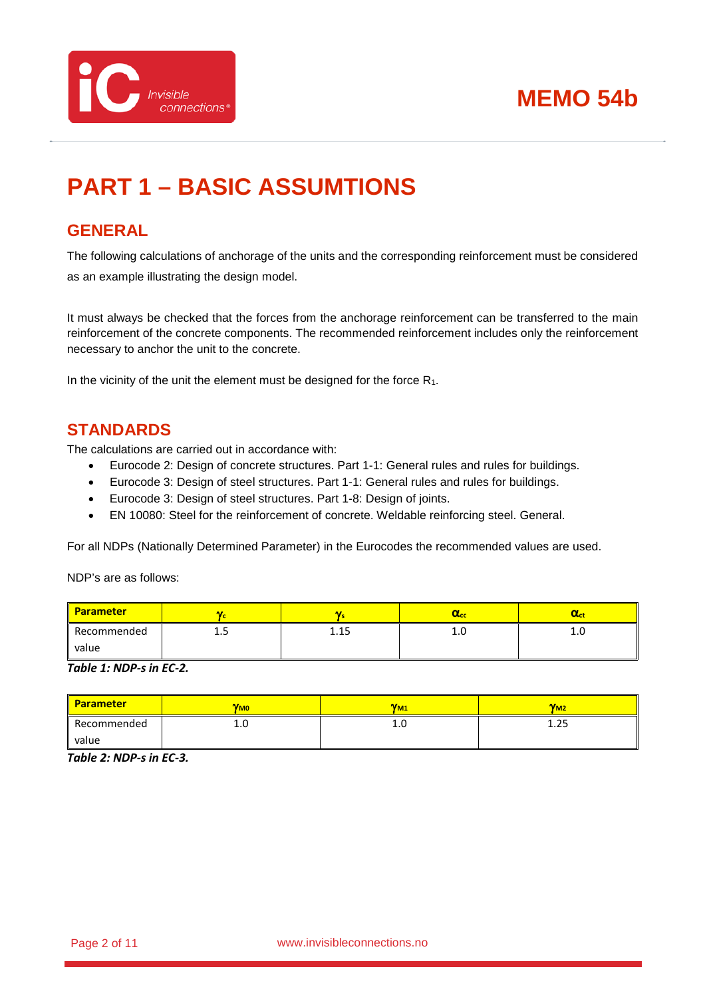



# <span id="page-1-0"></span>**PART 1 – BASIC ASSUMTIONS**

### <span id="page-1-1"></span>**GENERAL**

The following calculations of anchorage of the units and the corresponding reinforcement must be considered as an example illustrating the design model.

It must always be checked that the forces from the anchorage reinforcement can be transferred to the main reinforcement of the concrete components. The recommended reinforcement includes only the reinforcement necessary to anchor the unit to the concrete.

In the vicinity of the unit the element must be designed for the force  $R_1$ .

### <span id="page-1-2"></span>**STANDARDS**

The calculations are carried out in accordance with:

- Eurocode 2: Design of concrete structures. Part 1-1: General rules and rules for buildings.
- Eurocode 3: Design of steel structures. Part 1-1: General rules and rules for buildings.
- Eurocode 3: Design of steel structures. Part 1-8: Design of joints.
- EN 10080: Steel for the reinforcement of concrete. Weldable reinforcing steel. General.

For all NDPs (Nationally Determined Parameter) in the Eurocodes the recommended values are used.

NDP's are as follows:

| <b>Parameter</b> |      |      | $\alpha_{cc}$ | αa  |
|------------------|------|------|---------------|-----|
| Recommended      | ر. 1 | 1.15 | <b>L.U</b>    | ⊥.∪ |
| value            |      |      |               |     |

*Table 1: NDP-s in EC-2.*

| <b>Parameter</b> | <b>V<sub>MO</sub></b> | $V_{M1}$ | $V_{M2}$ |
|------------------|-----------------------|----------|----------|
| Recommended      | T.N                   | 1.U      | 1.25     |
| value            |                       |          |          |

*Table 2: NDP-s in EC-3.*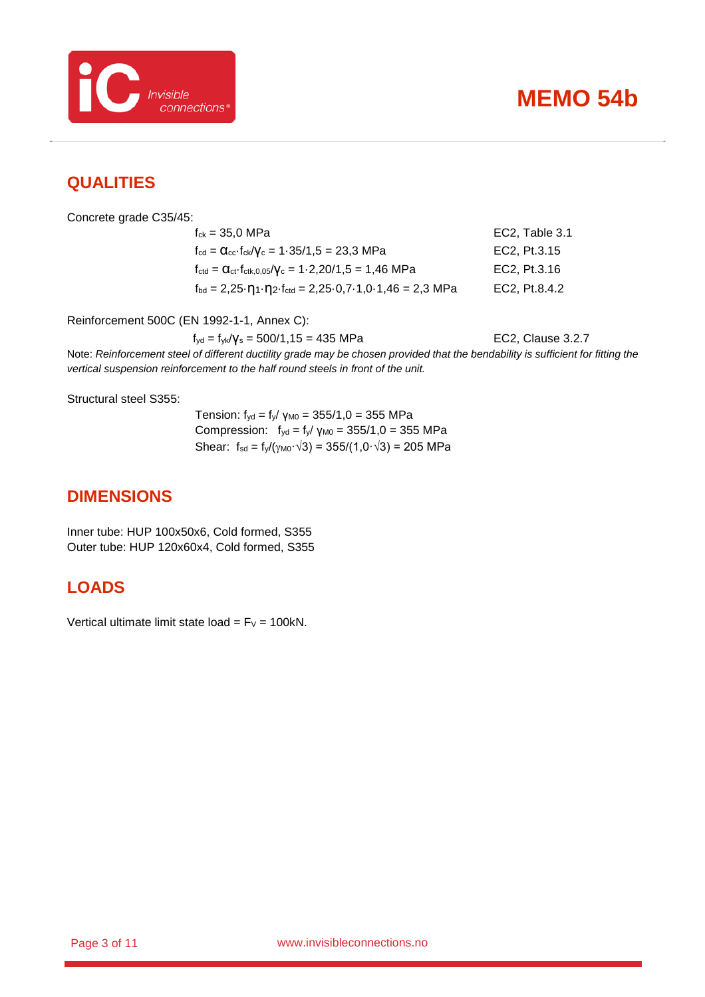

### <span id="page-2-0"></span>**QUALITIES**

Concrete grade C35/45:

 $f_{ck} = 35.0 \text{ MPa}$  EC2, Table 3.1  $f_{\text{cd}} = \alpha_{\text{cc}} \cdot f_{\text{ck}} / \gamma_{\text{c}} = 1.35 / 1.5 = 23.3 \text{ MPa}$  EC2, Pt.3.15  $f_{\text{ctd}} = \alpha_{\text{ct}} \cdot f_{\text{ctk},0,05}/\gamma_c = 1.2,20/1,5 = 1,46 \text{ MPa}$  EC2, Pt.3.16  $f_{\text{bd}} = 2,25 \cdot \eta_1 \cdot \eta_2 \cdot f_{\text{ctd}} = 2,25 \cdot 0,7 \cdot 1,0 \cdot 1,46 = 2,3 \text{ MPa}$  EC2, Pt.8.4.2

Reinforcement 500C (EN 1992-1-1, Annex C):

 $f_{yd} = f_{yk}/\gamma_s = 500/1, 15 = 435 \text{ MPa}$  EC2, Clause 3.2.7

Note: *Reinforcement steel of different ductility grade may be chosen provided that the bendability is sufficient for fitting the vertical suspension reinforcement to the half round steels in front of the unit.*

Structural steel S355:

Tension:  $f_{yd} = f_y / \gamma_{M0} = 355/1, 0 = 355 \text{ MPa}$ Compression:  $f_{yd} = f_y / γ_{M0} = 355/1,0 = 355$  MPa Shear:  $f_{sd} = f_{y}/(\gamma_{M0} \cdot \sqrt{3}) = 355/(1,0 \cdot \sqrt{3}) = 205 \text{ MPa}$ 

### <span id="page-2-1"></span>**DIMENSIONS**

Inner tube: HUP 100x50x6, Cold formed, S355 Outer tube: HUP 120x60x4, Cold formed, S355

### <span id="page-2-2"></span>**LOADS**

Vertical ultimate limit state load =  $F_v$  = 100kN.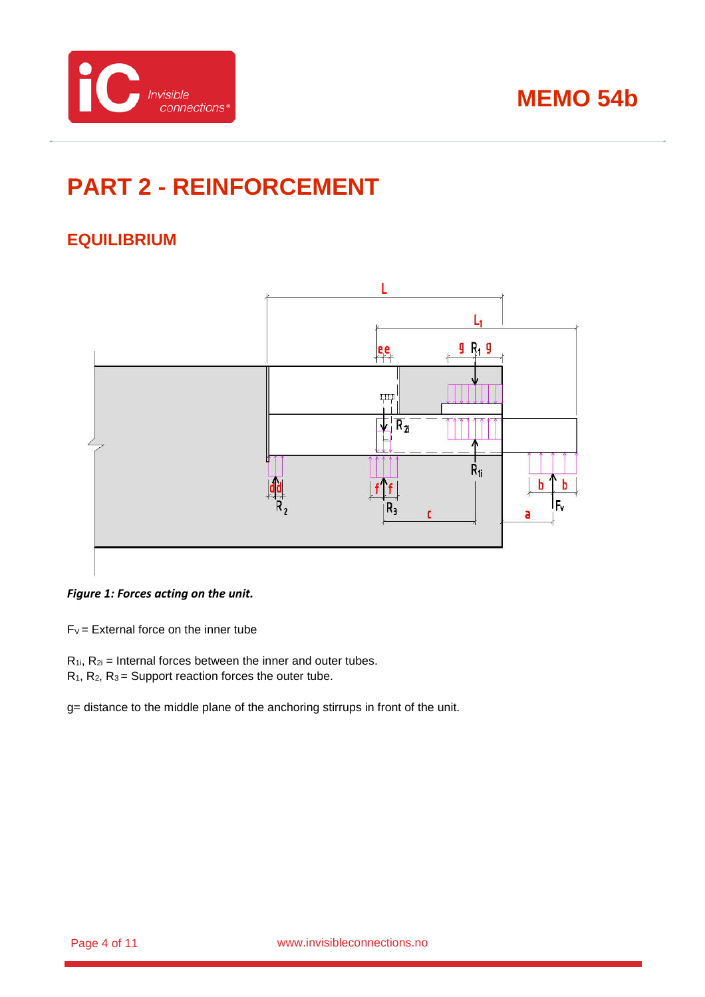

# <span id="page-3-0"></span>**PART 2 - REINFORCEMENT**

### <span id="page-3-1"></span>**EQUILIBRIUM**



#### <span id="page-3-2"></span>*Figure 1: Forces acting on the unit.*

 $F_V =$  External force on the inner tube

- $R_{1i}$ ,  $R_{2i}$  = Internal forces between the inner and outer tubes.
- $R_1$ ,  $R_2$ ,  $R_3$  = Support reaction forces the outer tube.

g= distance to the middle plane of the anchoring stirrups in front of the unit.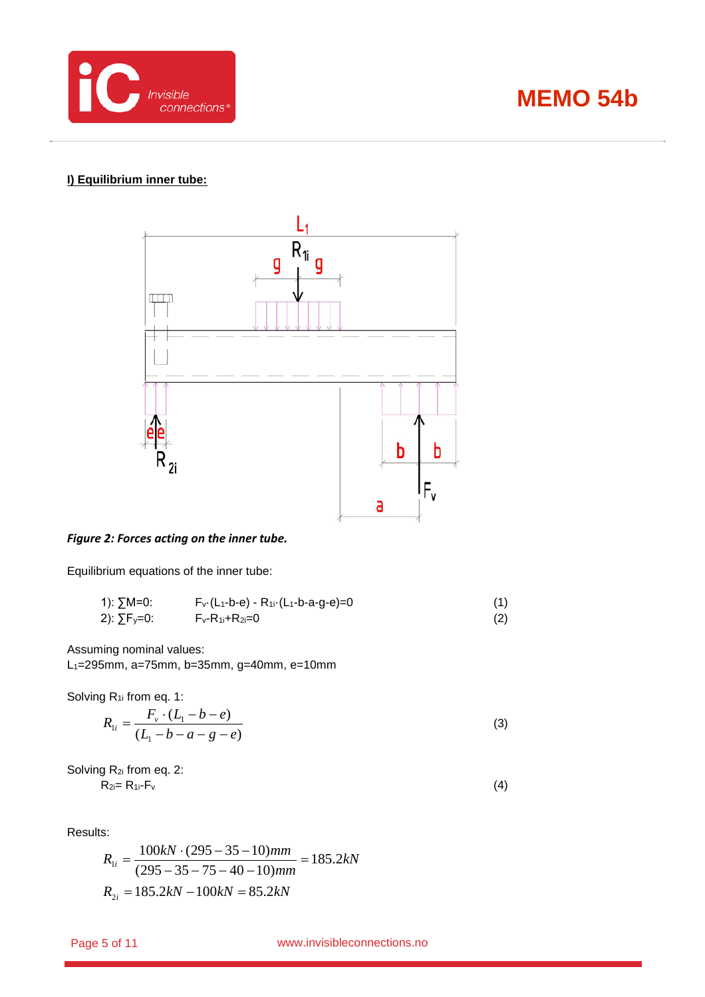

#### **I) Equilibrium inner tube:**



#### *Figure 2: Forces acting on the inner tube.*

Equilibrium equations of the inner tube:

| 1): ∑M=0:               | $F_v(L_1-b-e) - R_{1i} (L_1-b-a-g-e)=0$ |     |
|-------------------------|-----------------------------------------|-----|
| 2): ∑F <sub>y</sub> =0: | $F_v-R_{1i}+R_{2i}=0$                   | (2) |

Assuming nominal values:

L1=295mm, a=75mm, b=35mm, g=40mm, e=10mm

Solving R<sub>1i</sub> from eq. 1:

$$
R_{1i} = \frac{F_v \cdot (L_1 - b - e)}{(L_1 - b - a - g - e)}
$$
(3)

Solving R<sub>2i</sub> from eq. 2:  $R_{2i}= R_{1i}-F_v$  (4)

Results:

$$
R_{1i} = \frac{100kN \cdot (295 - 35 - 10)mm}{(295 - 35 - 75 - 40 - 10)mm} = 185.2kN
$$
  

$$
R_{2i} = 185.2kN - 100kN = 85.2kN
$$

Page 5 of 11 **biggers** www.invisibleconnections.no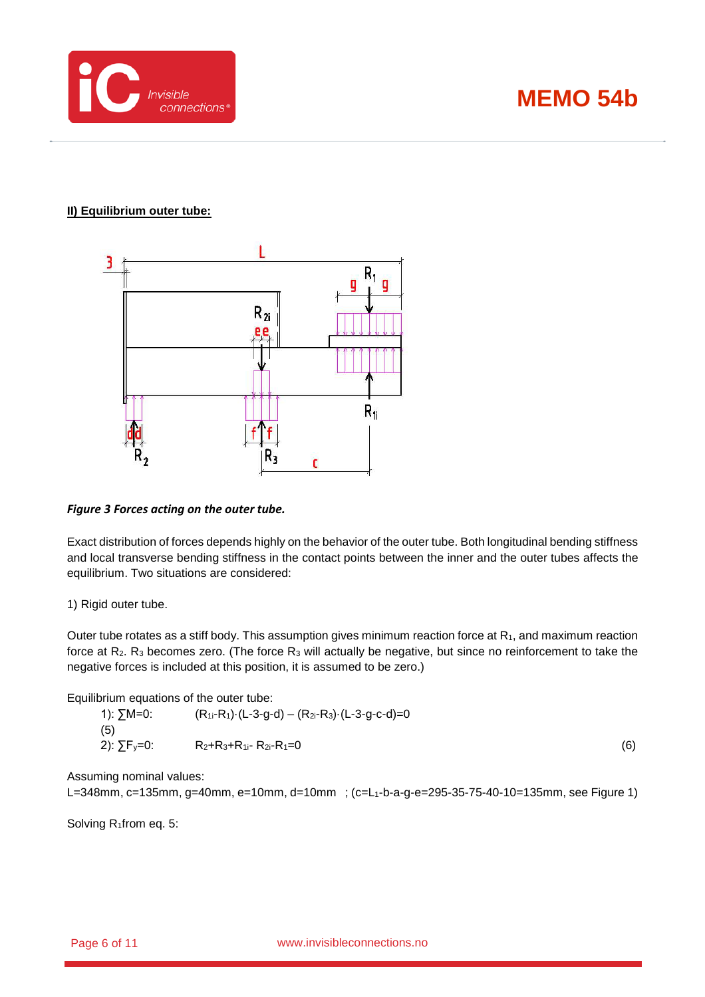

#### **II) Equilibrium outer tube:**



#### *Figure 3 Forces acting on the outer tube.*

Exact distribution of forces depends highly on the behavior of the outer tube. Both longitudinal bending stiffness and local transverse bending stiffness in the contact points between the inner and the outer tubes affects the equilibrium. Two situations are considered:

#### 1) Rigid outer tube.

Outer tube rotates as a stiff body. This assumption gives minimum reaction force at  $R_1$ , and maximum reaction force at R<sub>2</sub>. R<sub>3</sub> becomes zero. (The force R<sub>3</sub> will actually be negative, but since no reinforcement to take the negative forces is included at this position, it is assumed to be zero.)

Equilibrium equations of the outer tube:

| 1): ∑M=0:<br>(5)       | $(R_{1i}-R_1) \cdot (L-3-g-d) - (R_{2i}-R_3) \cdot (L-3-g-c-d)=0$ |     |
|------------------------|-------------------------------------------------------------------|-----|
| 2): $\Sigma F_y = 0$ : | $R_2+R_3+R_1$ - $R_2$ - $R_1=0$                                   | (6) |

Assuming nominal values:

L=348mm, c=135mm, g=40mm, e=10mm, d=10mm; (c=L<sub>1</sub>-b-a-g-e=295-35-75-40-10=135mm, see [Figure 1\)](#page-3-2)

Solving R<sub>1</sub>from eq. 5: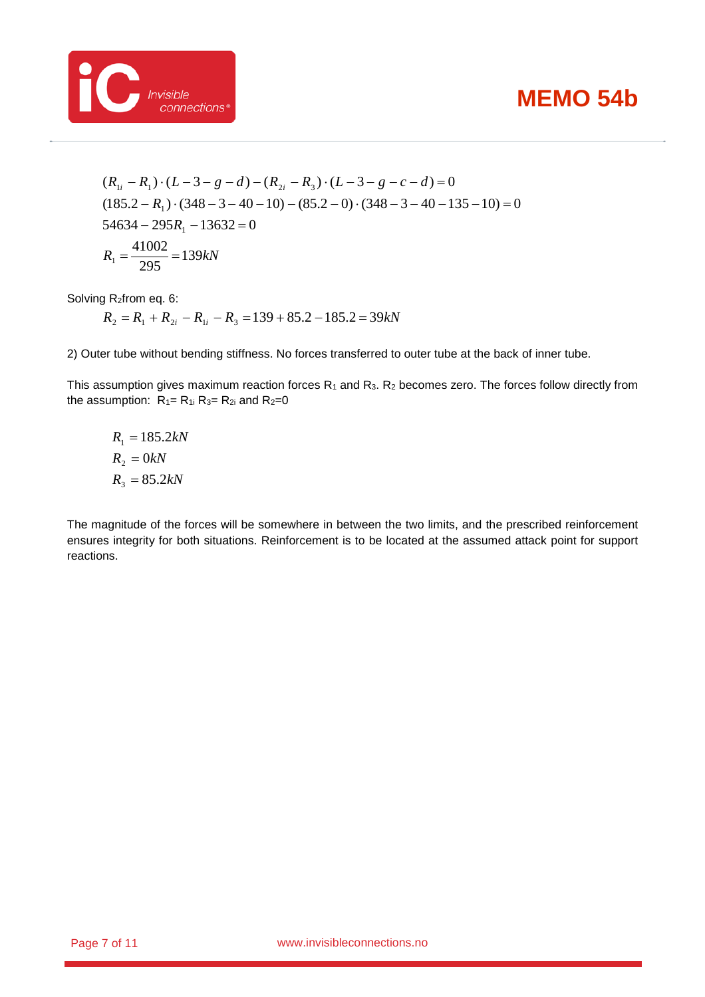

$$
(R_{1i} - R_1) \cdot (L - 3 - g - d) - (R_{2i} - R_3) \cdot (L - 3 - g - c - d) = 0
$$
  
(185.2 - R<sub>1</sub>) \cdot (348 - 3 - 40 - 10) - (85.2 - 0) \cdot (348 - 3 - 40 - 135 - 10) = 0  
54634 - 295R<sub>1</sub> - 13632 = 0  
R<sub>1</sub> =  $\frac{41002}{295}$  = 139kN

Solving R2from eq. 6:

 $R_2 = R_1 + R_{2i} - R_{1i} - R_3 = 139 + 85.2 - 185.2 = 39kN$ 

2) Outer tube without bending stiffness. No forces transferred to outer tube at the back of inner tube.

This assumption gives maximum reaction forces  $R_1$  and  $R_3$ .  $R_2$  becomes zero. The forces follow directly from the assumption:  $R_1 = R_1$  i  $R_3 = R_2$  and  $R_2 = 0$ 

$$
R_1 = 185.2kN
$$
  

$$
R_2 = 0kN
$$
  

$$
R_3 = 85.2kN
$$

The magnitude of the forces will be somewhere in between the two limits, and the prescribed reinforcement ensures integrity for both situations. Reinforcement is to be located at the assumed attack point for support reactions.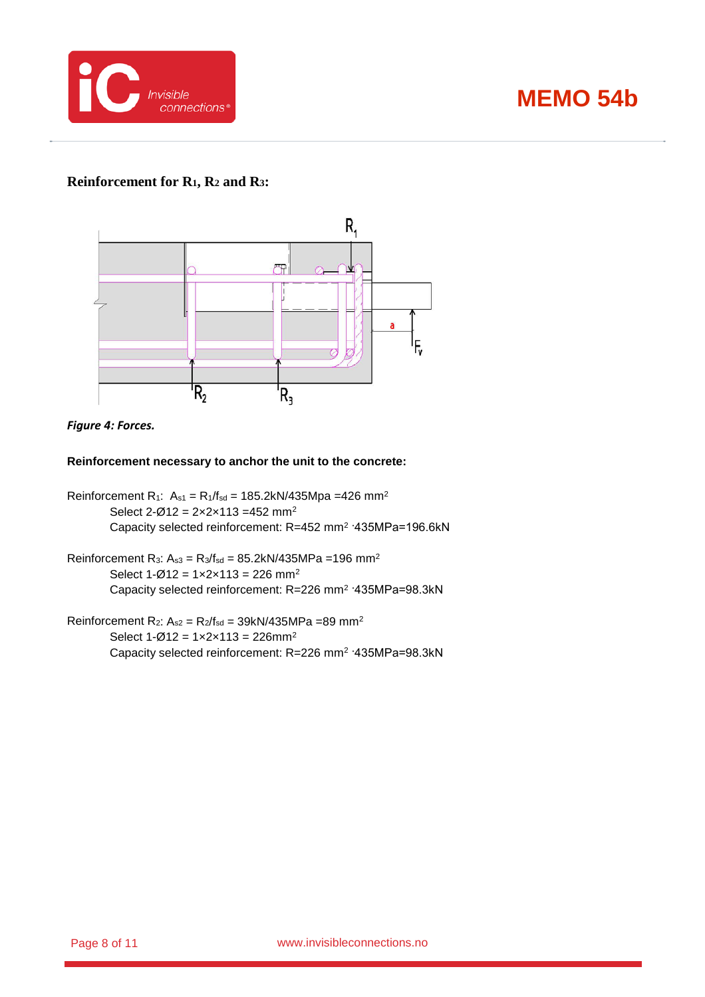

#### **Reinforcement for R1, R2 and R3:**





#### **Reinforcement necessary to anchor the unit to the concrete:**

Reinforcement R<sub>1</sub>:  $A_{s1} = R_1/f_{sd} = 185.2kN/435Mpa = 426 mm^2$ Select  $2-\varnothing$ 12 =  $2 \times 2 \times 113$  = 452 mm<sup>2</sup> Capacity selected reinforcement: R=452 mm2 ·435MPa=196.6kN

Reinforcement R<sub>3</sub>:  $A_{s3} = R_3/f_{sd} = 85.2kN/435MPa = 196 mm^2$ Select  $1 - \varnothing 12 = 1 \times 2 \times 113 = 226$  mm<sup>2</sup> Capacity selected reinforcement: R=226 mm2 ·435MPa=98.3kN

Reinforcement R<sub>2</sub>:  $A_{s2} = R_2/f_{sd} = 39kN/435MPa = 89 mm^2$ Select  $1 - \emptyset 12 = 1 \times 2 \times 113 = 226$ mm<sup>2</sup> Capacity selected reinforcement: R=226 mm2 ·435MPa=98.3kN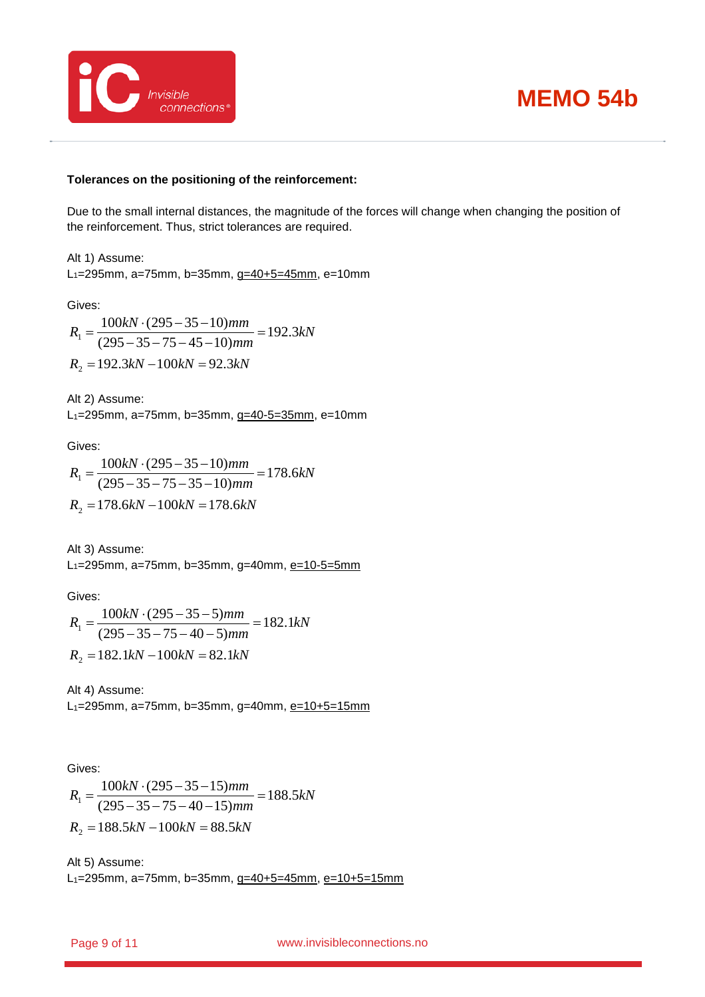

#### **Tolerances on the positioning of the reinforcement:**

Due to the small internal distances, the magnitude of the forces will change when changing the position of the reinforcement. Thus, strict tolerances are required.

Alt 1) Assume: L1=295mm, a=75mm, b=35mm, g=40+5=45mm, e=10mm

Gives:

*kN mm*  $R_1 = \frac{100kN \cdot (295 - 35 - 10)mm}{(295 - 35 - 15 - 10)} = 192.3$  $(295 - 35 - 75 - 45 - 10)$  $\frac{100kN \cdot (295 - 35 - 10)mm}{(295 - 35 - 75 - 45 - 10)mm} =$ *R*<sup>2</sup> =192.3*kN* −100*kN* = 92.3*kN*

Alt 2) Assume:

L1=295mm, a=75mm, b=35mm, g=40-5=35mm, e=10mm

Gives:

$$
R_1 = \frac{100kN \cdot (295 - 35 - 10)mm}{(295 - 35 - 75 - 35 - 10)mm} = 178.6kN
$$
  

$$
R_2 = 178.6kN - 100kN = 178.6kN
$$

Alt 3) Assume:

L<sub>1</sub>=295mm, a=75mm, b=35mm, g=40mm, e=10-5=5mm

Gives:

$$
R_1 = \frac{100kN \cdot (295 - 35 - 5)mm}{(295 - 35 - 75 - 40 - 5)mm} = 182.1kN
$$
  

$$
R_2 = 182.1kN - 100kN = 82.1kN
$$

Alt 4) Assume: L<sub>1</sub>=295mm, a=75mm, b=35mm, g=40mm, e=10+5=15mm

Gives:

*kN mm*  $R_1 = \frac{100kN \cdot (295 - 35 - 15)mm}{(295 - 35 - 15)(18.5)} = 188.5$  $(295 - 35 - 75 - 40 - 15)$  $\frac{100kN \cdot (295 - 35 - 15)mm}{(295 - 35 - 75 - 40 - 15)mm} =$ *R*<sup>2</sup> =188.5*kN* −100*kN* = 88.5*kN*

Alt 5) Assume: L<sub>1</sub>=295mm, a=75mm, b=35mm, g=40+5=45mm, e=10+5=15mm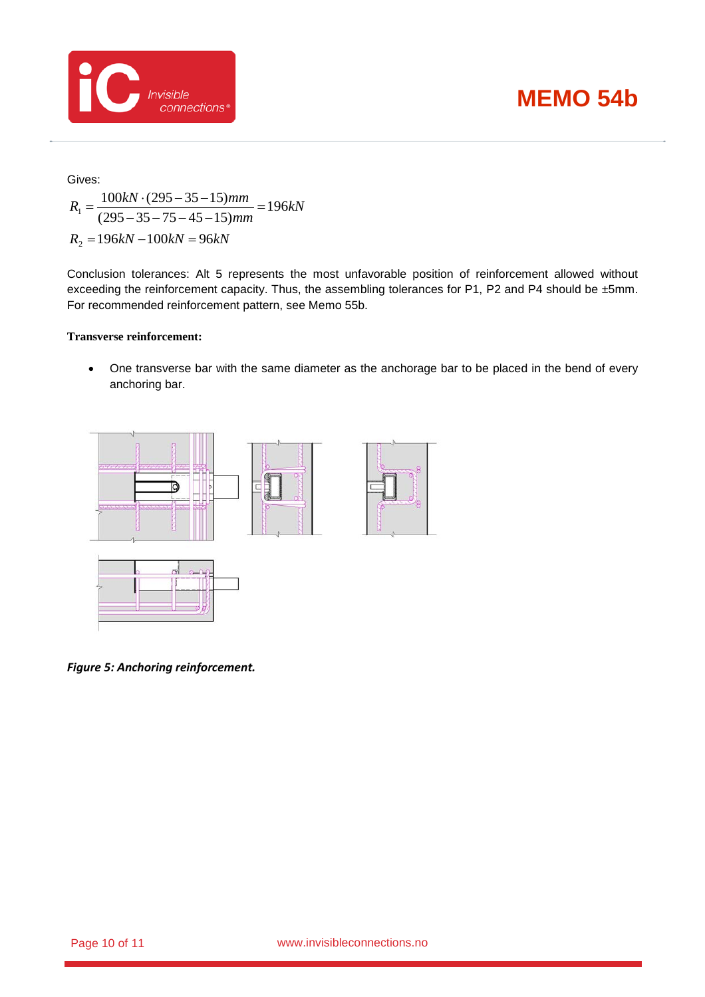

Gives:

$$
R_1 = \frac{100kN \cdot (295 - 35 - 15)mm}{(295 - 35 - 75 - 45 - 15)mm} = 196kN
$$
  

$$
R_2 = 196kN - 100kN = 96kN
$$

Conclusion tolerances: Alt 5 represents the most unfavorable position of reinforcement allowed without exceeding the reinforcement capacity. Thus, the assembling tolerances for P1, P2 and P4 should be ±5mm. For recommended reinforcement pattern, see Memo 55b.

#### **Transverse reinforcement:**

• One transverse bar with the same diameter as the anchorage bar to be placed in the bend of every anchoring bar.



*Figure 5: Anchoring reinforcement.*